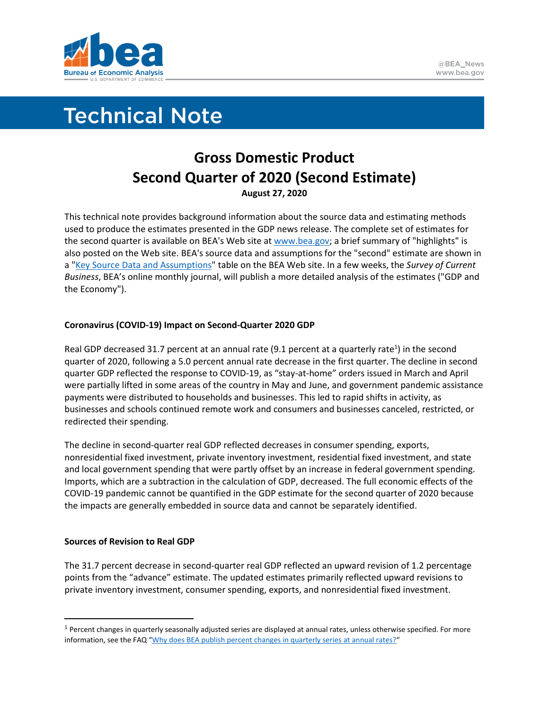

# **Technical Note**

# **Gross Domestic Product Second Quarter of 2020 (Second Estimate) August 27, 2020**

This technical note provides background information about the source data and estimating methods used to produce the estimates presented in the GDP news release. The complete set of estimates for the second quarter is available on BEA's Web site a[t www.bea.gov;](http://www.bea.gov/) a brief summary of "highlights" is also posted on the Web site. BEA's source data and assumptions for the "second" estimate are shown in a ["Key Source Data and Assumptions"](https://www.bea.gov/sites/default/files/2020-08/GDPKeySource_2q20_08-28-20.xlsx) table on the BEA Web site. In a few weeks, the *Survey of Current Business*, BEA's online monthly journal, will publish a more detailed analysis of the estimates ("GDP and the Economy").

# **Coronavirus (COVID-19) Impact on Second-Quarter 2020 GDP**

Real GDP decreased 31.7 percent at an annual rate (9.1 percent at a quarterly rate<sup>1</sup>) in the second quarter of 2020, following a 5.0 percent annual rate decrease in the first quarter. The decline in second quarter GDP reflected the response to COVID-19, as "stay-at-home" orders issued in March and April were partially lifted in some areas of the country in May and June, and government pandemic assistance payments were distributed to households and businesses. This led to rapid shifts in activity, as businesses and schools continued remote work and consumers and businesses canceled, restricted, or redirected their spending.

The decline in second-quarter real GDP reflected decreases in consumer spending, exports, nonresidential fixed investment, private inventory investment, residential fixed investment, and state and local government spending that were partly offset by an increase in federal government spending. Imports, which are a subtraction in the calculation of GDP, decreased. The full economic effects of the COVID-19 pandemic cannot be quantified in the GDP estimate for the second quarter of 2020 because the impacts are generally embedded in source data and cannot be separately identified.

# **Sources of Revision to Real GDP**

The 31.7 percent decrease in second-quarter real GDP reflected an upward revision of 1.2 percentage points from the "advance" estimate. The updated estimates primarily reflected upward revisions to private inventory investment, consumer spending, exports, and nonresidential fixed investment.

 $1$  Percent changes in quarterly seasonally adjusted series are displayed at annual rates, unless otherwise specified. For more information, see the FAQ "[Why does BEA publish percent changes in quarterly series at annual rates?](https://www.bea.gov/help/faq/122)"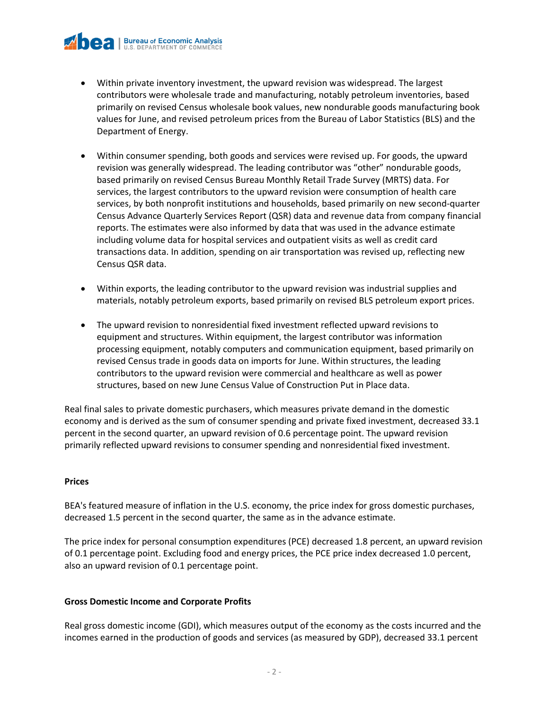

- Within private inventory investment, the upward revision was widespread. The largest contributors were wholesale trade and manufacturing, notably petroleum inventories, based primarily on revised Census wholesale book values, new nondurable goods manufacturing book values for June, and revised petroleum prices from the Bureau of Labor Statistics (BLS) and the Department of Energy.
- Within consumer spending, both goods and services were revised up. For goods, the upward revision was generally widespread. The leading contributor was "other" nondurable goods, based primarily on revised Census Bureau Monthly Retail Trade Survey (MRTS) data. For services, the largest contributors to the upward revision were consumption of health care services, by both nonprofit institutions and households, based primarily on new second-quarter Census Advance Quarterly Services Report (QSR) data and revenue data from company financial reports. The estimates were also informed by data that was used in the advance estimate including volume data for hospital services and outpatient visits as well as credit card transactions data. In addition, spending on air transportation was revised up, reflecting new Census QSR data.
- Within exports, the leading contributor to the upward revision was industrial supplies and materials, notably petroleum exports, based primarily on revised BLS petroleum export prices.
- The upward revision to nonresidential fixed investment reflected upward revisions to equipment and structures. Within equipment, the largest contributor was information processing equipment, notably computers and communication equipment, based primarily on revised Census trade in goods data on imports for June. Within structures, the leading contributors to the upward revision were commercial and healthcare as well as power structures, based on new June Census Value of Construction Put in Place data.

Real final sales to private domestic purchasers, which measures private demand in the domestic economy and is derived as the sum of consumer spending and private fixed investment, decreased 33.1 percent in the second quarter, an upward revision of 0.6 percentage point. The upward revision primarily reflected upward revisions to consumer spending and nonresidential fixed investment.

#### **Prices**

BEA's featured measure of inflation in the U.S. economy, the price index for gross domestic purchases, decreased 1.5 percent in the second quarter, the same as in the advance estimate.

The price index for personal consumption expenditures (PCE) decreased 1.8 percent, an upward revision of 0.1 percentage point. Excluding food and energy prices, the PCE price index decreased 1.0 percent, also an upward revision of 0.1 percentage point.

#### **Gross Domestic Income and Corporate Profits**

Real gross domestic income (GDI), which measures output of the economy as the costs incurred and the incomes earned in the production of goods and services (as measured by GDP), decreased 33.1 percent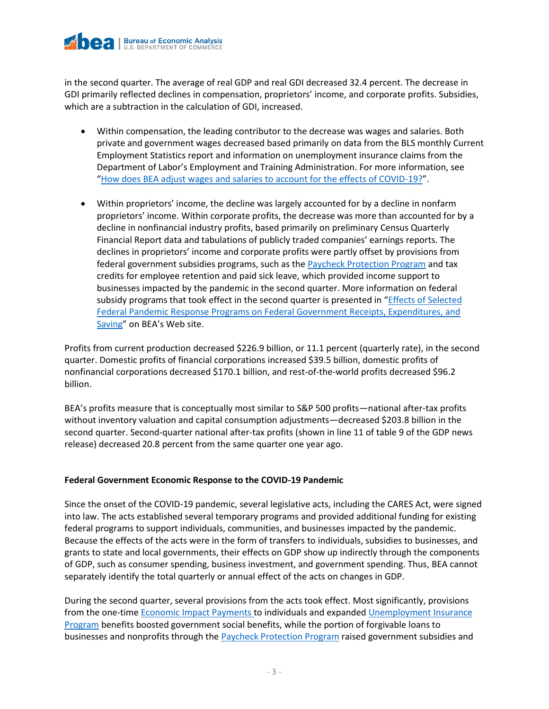

in the second quarter. The average of real GDP and real GDI decreased 32.4 percent. The decrease in GDI primarily reflected declines in compensation, proprietors' income, and corporate profits. Subsidies, which are a subtraction in the calculation of GDI, increased.

- Within compensation, the leading contributor to the decrease was wages and salaries. Both private and government wages decreased based primarily on data from the BLS monthly Current Employment Statistics report and information on unemployment insurance claims from the Department of Labor's Employment and Training Administration. For more information, see "[How does BEA adjust wages and salaries](https://www.bea.gov/help/faq/1416) to account for the effects of COVID-19?".
- Within proprietors' income, the decline was largely accounted for by a decline in nonfarm proprietors' income. Within corporate profits, the decrease was more than accounted for by a decline in nonfinancial industry profits, based primarily on preliminary Census Quarterly Financial Report data and tabulations of publicly traded companies' earnings reports. The declines in proprietors' income and corporate profits were partly offset by provisions from federal government subsidies programs, such as the [Paycheck Protection Program](https://www.bea.gov/help/faq/1408) and tax credits for employee retention and paid sick leave, which provided income support to businesses impacted by the pandemic in the second quarter. More information on federal subsidy programs that took effect in the second quarter is presented in "Effects of Selected [Federal Pandemic Response Programs on Federal Government Receipts, Expenditures, and](https://www.bea.gov/sites/default/files/2020-08/effects-of-selected-federal-pandemic-response-programs-on-federal-government-receipts-expenditures-and-saving-2020q2-second.pdf)  [Saving](https://www.bea.gov/sites/default/files/2020-08/effects-of-selected-federal-pandemic-response-programs-on-federal-government-receipts-expenditures-and-saving-2020q2-second.pdf)" on BEA's Web site.

Profits from current production decreased \$226.9 billion, or 11.1 percent (quarterly rate), in the second quarter. Domestic profits of financial corporations increased \$39.5 billion, domestic profits of nonfinancial corporations decreased \$170.1 billion, and rest-of-the-world profits decreased \$96.2 billion.

BEA's profits measure that is conceptually most similar to S&P 500 profits—national after-tax profits without inventory valuation and capital consumption adjustments—decreased \$203.8 billion in the second quarter. Second-quarter national after-tax profits (shown in line 11 of table 9 of the GDP news release) decreased 20.8 percent from the same quarter one year ago.

## **Federal Government Economic Response to the COVID-19 Pandemic**

Since the onset of the COVID-19 pandemic, several legislative acts, including the CARES Act, were signed into law. The acts established several temporary programs and provided additional funding for existing federal programs to support individuals, communities, and businesses impacted by the pandemic. Because the effects of the acts were in the form of transfers to individuals, subsidies to businesses, and grants to state and local governments, their effects on GDP show up indirectly through the components of GDP, such as consumer spending, business investment, and government spending. Thus, BEA cannot separately identify the total quarterly or annual effect of the acts on changes in GDP.

During the second quarter, several provisions from the acts took effect. Most significantly, provisions from the one-time [Economic Impact Payments](https://www.bea.gov/help/faq/1409) to individuals and expanded Unemployment Insurance [Program](https://www.bea.gov/help/faq/1415) benefits boosted government social benefits, while the portion of forgivable loans to businesses and nonprofits through th[e Paycheck Protection Program](https://www.bea.gov/help/faq/1408) raised government subsidies and